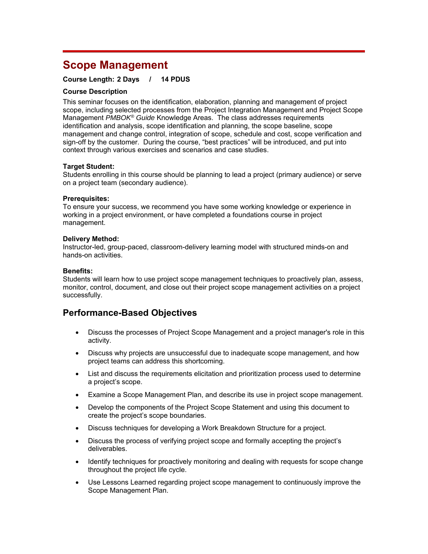# **Scope Management**

### **Course Length: 2 Days / 14 PDUS**

#### **Course Description**

This seminar focuses on the identification, elaboration, planning and management of project scope, including selected processes from the Project Integration Management and Project Scope Management *PMBOK® Guide* Knowledge Areas. The class addresses requirements identification and analysis, scope identification and planning, the scope baseline, scope management and change control, integration of scope, schedule and cost, scope verification and sign-off by the customer. During the course, "best practices" will be introduced, and put into context through various exercises and scenarios and case studies.

#### **Target Student:**

Students enrolling in this course should be planning to lead a project (primary audience) or serve on a project team (secondary audience).

#### **Prerequisites:**

To ensure your success, we recommend you have some working knowledge or experience in working in a project environment, or have completed a foundations course in project management.

#### **Delivery Method:**

Instructor-led, group-paced, classroom-delivery learning model with structured minds-on and hands-on activities.

#### **Benefits:**

Students will learn how to use project scope management techniques to proactively plan, assess, monitor, control, document, and close out their project scope management activities on a project successfully.

## **Performance-Based Objectives**

- Discuss the processes of Project Scope Management and a project manager's role in this activity.
- Discuss why projects are unsuccessful due to inadequate scope management, and how project teams can address this shortcoming.
- List and discuss the requirements elicitation and prioritization process used to determine a project's scope.
- Examine a Scope Management Plan, and describe its use in project scope management.
- Develop the components of the Project Scope Statement and using this document to create the project's scope boundaries.
- Discuss techniques for developing a Work Breakdown Structure for a project.
- Discuss the process of verifying project scope and formally accepting the project's deliverables.
- Identify techniques for proactively monitoring and dealing with requests for scope change throughout the project life cycle.
- Use Lessons Learned regarding project scope management to continuously improve the Scope Management Plan.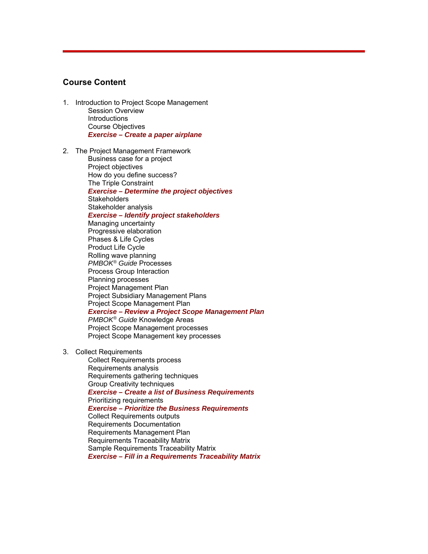## **Course Content**

- 1. Introduction to Project Scope Management Session Overview **Introductions** Course Objectives *Exercise – Create a paper airplane*
- 2. The Project Management Framework

Business case for a project Project objectives How do you define success? The Triple Constraint *Exercise – Determine the project objectives* **Stakeholders** Stakeholder analysis *Exercise – Identify project stakeholders* Managing uncertainty Progressive elaboration Phases & Life Cycles Product Life Cycle Rolling wave planning *PMBOK® Guide* Processes Process Group Interaction Planning processes Project Management Plan Project Subsidiary Management Plans Project Scope Management Plan *Exercise – Review a Project Scope Management Plan PMBOK® Guide* Knowledge Areas Project Scope Management processes Project Scope Management key processes

3. Collect Requirements

Collect Requirements process Requirements analysis Requirements gathering techniques Group Creativity techniques *Exercise – Create a list of Business Requirements* Prioritizing requirements *Exercise – Prioritize the Business Requirements* Collect Requirements outputs Requirements Documentation Requirements Management Plan Requirements Traceability Matrix Sample Requirements Traceability Matrix *Exercise – Fill in a Requirements Traceability Matrix*